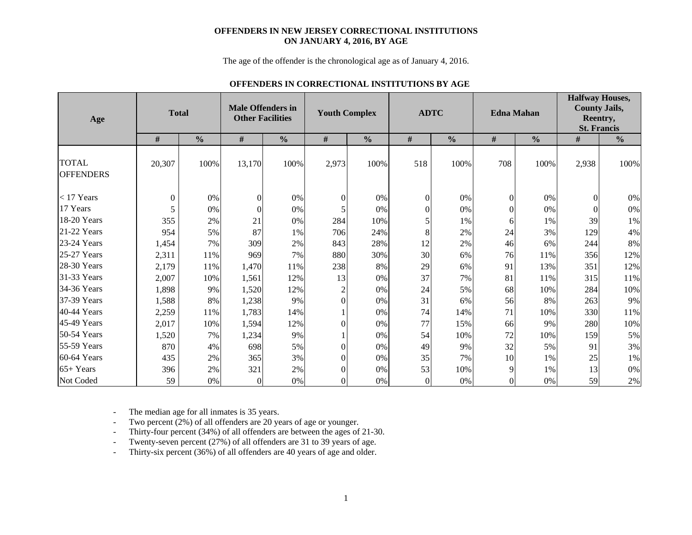#### **OFFENDERS IN NEW JERSEY CORRECTIONAL INSTITUTIONS ON JANUARY 4, 2016, BY AGE**

The age of the offender is the chronological age as of January 4, 2016.

#### **OFFENDERS IN CORRECTIONAL INSTITUTIONS BY AGE**

| Age                              |          | <b>Total</b>  | <b>Male Offenders in</b><br><b>Other Facilities</b> |               | <b>Youth Complex</b> |               |                  | <b>ADTC</b>   |                  | <b>Edna Mahan</b> | <b>Halfway Houses,</b><br><b>County Jails,</b><br>Reentry,<br><b>St. Francis</b> |               |
|----------------------------------|----------|---------------|-----------------------------------------------------|---------------|----------------------|---------------|------------------|---------------|------------------|-------------------|----------------------------------------------------------------------------------|---------------|
|                                  | $\#$     | $\frac{0}{0}$ | $\#$                                                | $\frac{0}{0}$ | $\#$                 | $\frac{0}{0}$ | $\#$             | $\frac{0}{0}$ | $\#$             | $\frac{0}{0}$     | $\#$                                                                             | $\frac{0}{0}$ |
| <b>TOTAL</b><br><b>OFFENDERS</b> | 20,307   | 100%          | 13,170                                              | 100%          | 2,973                | 100%          | 518              | 100%          | 708              | 100%              | 2,938                                                                            | 100%          |
| $<$ 17 Years                     | $\Omega$ | $0\%$         | $\theta$                                            | $0\%$         | $\boldsymbol{0}$     | 0%            | $\boldsymbol{0}$ | 0%            | $\mathbf{0}$     | 0%                | $\Omega$                                                                         | $0\%$         |
| 17 Years                         | 5        | 0%            | $\theta$                                            | 0%            |                      | 0%            | $\theta$         | $0\%$         | $\boldsymbol{0}$ | 0%                | $\Omega$                                                                         | $0\%$         |
| 18-20 Years                      | 355      | 2%            | 21                                                  | 0%            | 284                  | 10%           | 5                | 1%            | 6                | 1%                | 39                                                                               | 1%            |
| 21-22 Years                      | 954      | 5%            | 87                                                  | 1%            | 706                  | 24%           | 8                | 2%            | 24               | 3%                | 129                                                                              | 4%            |
| 23-24 Years                      | 1,454    | 7%            | 309                                                 | 2%            | 843                  | 28%           | 12               | 2%            | 46               | 6%                | 244                                                                              | $8\%$         |
| 25-27 Years                      | 2,311    | 11%           | 969                                                 | 7%            | 880                  | 30%           | 30               | 6%            | 76               | 11%               | 356                                                                              | 12%           |
| $28-30$ Years                    | 2,179    | 11%           | 1,470                                               | 11%           | 238                  | 8%            | 29               | 6%            | 91               | 13%               | 351                                                                              | 12%           |
| 31-33 Years                      | 2,007    | 10%           | 1,561                                               | 12%           | 13                   | 0%            | 37               | 7%            | 81               | 11%               | 315                                                                              | 11%           |
| 34-36 Years                      | 1,898    | 9%            | 1,520                                               | 12%           | $\overline{2}$       | 0%            | 24               | 5%            | 68               | 10%               | 284                                                                              | 10%           |
| 37-39 Years                      | 1,588    | 8%            | 1,238                                               | 9%            | $\Omega$             | 0%            | 31               | 6%            | 56               | 8%                | 263                                                                              | 9%            |
| 40-44 Years                      | 2,259    | 11%           | 1,783                                               | 14%           |                      | 0%            | 74               | 14%           | 71               | 10%               | 330                                                                              | 11%           |
| 45-49 Years                      | 2,017    | 10%           | 1,594                                               | 12%           | $\theta$             | 0%            | 77               | 15%           | 66               | 9%                | 280                                                                              | 10%           |
| $50-54$ Years                    | 1,520    | 7%            | 1,234                                               | 9%            |                      | 0%            | 54               | 10%           | 72               | 10%               | 159                                                                              | 5%            |
| 55-59 Years                      | 870      | 4%            | 698                                                 | 5%            | $\Omega$             | 0%            | 49               | 9%            | 32               | 5%                | 91                                                                               | 3%            |
| $60-64$ Years                    | 435      | 2%            | 365                                                 | 3%            | $\theta$             | 0%            | 35               | 7%            | 10               | 1%                | 25                                                                               | 1%            |
| $65+Years$                       | 396      | 2%            | 321                                                 | 2%            | $\theta$             | 0%            | 53               | 10%           | 9                | 1%                | 13                                                                               | $0\%$         |
| Not Coded                        | 59       | $0\%$         | $\Omega$                                            | 0%            | $\Omega$             | 0%            | $\Omega$         | 0%            | $\overline{0}$   | 0%                | 59                                                                               | $2\%$         |

-The median age for all inmates is 35 years.

-Two percent (2%) of all offenders are 20 years of age or younger.

-Thirty-four percent (34%) of all offenders are between the ages of 21-30.

-Twenty-seven percent (27%) of all offenders are 31 to 39 years of age.

-Thirty-six percent (36%) of all offenders are 40 years of age and older.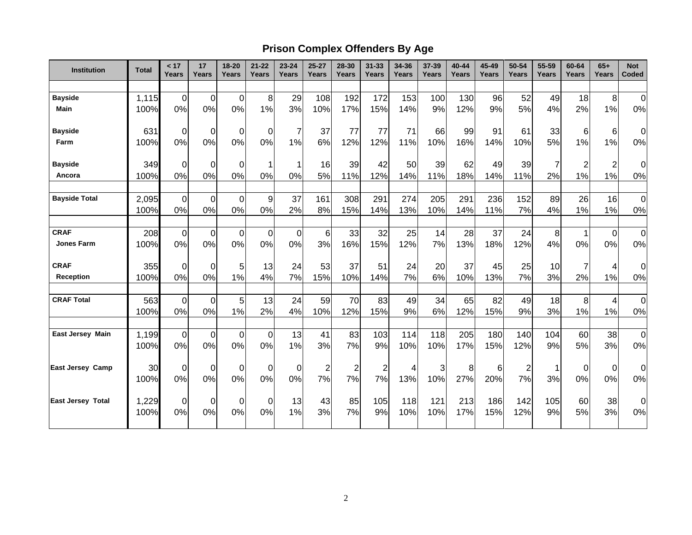# **Prison Complex Offenders By Age**

| Institution              | <b>Total</b>  | < 17<br>Years     | 17<br>Years       | 18-20<br>Years    | $21 - 22$<br>Years | $23 - 24$<br>Years | $25 - 27$<br>Years      | 28-30<br>Years          | $31 - 33$<br>Years | 34-36<br>Years | 37-39<br>Years | 40-44<br>Years | 45-49<br>Years | 50-54<br>Years | 55-59<br>Years | 60-64<br>Years | $65+$<br>Years          | <b>Not</b><br>Coded |
|--------------------------|---------------|-------------------|-------------------|-------------------|--------------------|--------------------|-------------------------|-------------------------|--------------------|----------------|----------------|----------------|----------------|----------------|----------------|----------------|-------------------------|---------------------|
|                          |               |                   |                   |                   |                    |                    |                         |                         |                    |                |                |                |                |                |                |                |                         |                     |
| <b>Bayside</b>           | 1,115         | $\overline{0}$    | $\mathbf 0$       | $\mathbf 0$       | 8                  | 29                 | 108                     | 192                     | 172                | 153            | 100            | 130            | 96             | 52             | 49             | 18             | 8                       | $\mathbf 0$         |
| <b>Main</b>              | 100%          | 0%                | 0%                | 0%                | 1%                 | 3%                 | 10%                     | 17%                     | 15%                | 14%            | 9%             | 12%            | 9%             | 5%             | 4%             | 2%             | 1%                      | 0%                  |
| <b>Bayside</b>           | 631           | $\Omega$          | $\mathbf 0$       | 0                 | $\overline{0}$     | $\overline{7}$     | 37                      | 77                      | 77                 | 71             | 66             | 99             | 91             | 61             | 33             | 6              | 6                       | 0                   |
| Farm                     | 100%          | 0%                | 0%                | 0%                | 0%                 | 1%                 | 6%                      | 12%                     | 12%                | 11%            | 10%            | 16%            | 14%            | 10%            | 5%             | 1%             | 1%                      | 0%                  |
| <b>Bayside</b>           | 349           | $\mathbf 0$       | $\mathbf 0$       | $\mathbf 0$       |                    | 1                  | 16                      | 39                      | 42                 | 50             | 39             | 62             | 49             | 39             | $\overline{7}$ | $\overline{2}$ | $\overline{\mathbf{c}}$ | $\mathbf 0$         |
| Ancora                   | 100%          | 0%                | 0%                | 0%                | 0%                 | 0%                 | 5%                      | 11%                     | 12%                | 14%            | 11%            | 18%            | 14%            | 11%            | 2%             | 1%             | 1%                      | 0%                  |
| <b>Bayside Total</b>     | 2,095<br>100% | $\mathbf 0$<br>0% | $\mathbf 0$<br>0% | $\mathbf 0$<br>0% | 9<br>0%            | 37<br>2%           | 161<br>8%               | 308<br>15%              | 291<br>14%         | 274<br>13%     | 205<br>10%     | 291<br>14%     | 236<br>11%     | 152<br>7%      | 89<br>4%       | 26<br>1%       | 16<br>1%                | $\mathbf 0$<br>0%   |
|                          |               |                   |                   |                   |                    |                    |                         |                         |                    |                |                |                |                |                |                |                |                         |                     |
| <b>CRAF</b>              | 208           | $\overline{0}$    | $\mathbf 0$       | $\mathbf 0$       | $\overline{0}$     | $\overline{0}$     | $6\phantom{1}6$         | 33                      | 32                 | 25             | 14             | 28             | 37             | 24             | 8              | 1              | $\boldsymbol{0}$        | $\mathbf 0$         |
| <b>Jones Farm</b>        | 100%          | 0%                | 0%                | 0%                | 0%                 | 0%                 | 3%                      | 16%                     | 15%                | 12%            | 7%             | 13%            | 18%            | 12%            | 4%             | 0%             | 0%                      | 0%                  |
| <b>CRAF</b>              | 355           | 0                 | $\mathbf 0$       | 5                 | 13                 | 24                 | 53                      | 37                      | 51                 | 24             | 20             | 37             | 45             | 25             | 10             | 7              | 4                       | $\Omega$            |
| <b>Reception</b>         | 100%          | 0%                | 0%                | 1%                | 4%                 | 7%                 | 15%                     | 10%                     | 14%                | 7%             | 6%             | 10%            | 13%            | 7%             | 3%             | 2%             | 1%                      | 0%                  |
| <b>CRAF Total</b>        | 563           | $\overline{0}$    | $\mathbf 0$       | 5                 | 13                 | 24                 | 59                      | 70                      | 83                 | 49             | 34             | 65             | 82             | 49             | 18             | 8              | 4                       | $\mathbf 0$         |
|                          | 100%          | 0%                | 0%                | 1%                | 2%                 | 4%                 | 10%                     | 12%                     | 15%                | 9%             | 6%             | 12%            | 15%            | 9%             | 3%             | 1%             | 1%                      | 0%                  |
| East Jersey Main         | 1,199         | $\overline{0}$    | $\mathbf 0$       | $\mathbf 0$       | $\mathbf 0$        | 13                 | 41                      | 83                      | 103                | 114            | 118            | 205            | 180            | 140            | 104            | 60             | 38                      | $\pmb{0}$           |
|                          | 100%          | 0%                | 0%                | 0%                | 0%                 | 1%                 | 3%                      | 7%                      | 9%                 | 10%            | 10%            | 17%            | 15%            | 12%            | 9%             | 5%             | 3%                      | 0%                  |
| <b>East Jersey Camp</b>  | 30            | $\mathbf 0$       | $\mathbf 0$       | 0                 | $\overline{0}$     | 0                  | $\overline{\mathbf{c}}$ | $\overline{\mathbf{c}}$ | 2                  | 4              | 3              | 8              | 6              | 2              |                | 0              | $\mathbf 0$             | 0                   |
|                          | 100%          | 0%                | 0%                | 0%                | 0%                 | 0%                 | 7%                      | 7%                      | 7%                 | 13%            | 10%            | 27%            | 20%            | 7%             | 3%             | 0%             | 0%                      | 0%                  |
| <b>East Jersey Total</b> | 1,229         | 0                 | $\mathbf 0$       | $\Omega$          | 0                  | 13                 | 43                      | 85                      | 105                | 118            | 121            | 213            | 186            | 142            | 105            | 60             | 38                      | $\Omega$            |
|                          | 100%          | 0%                | 0%                | 0%                | 0%                 | 1%                 | 3%                      | 7%                      | 9%                 | 10%            | 10%            | 17%            | 15%            | 12%            | 9%             | 5%             | 3%                      | 0%                  |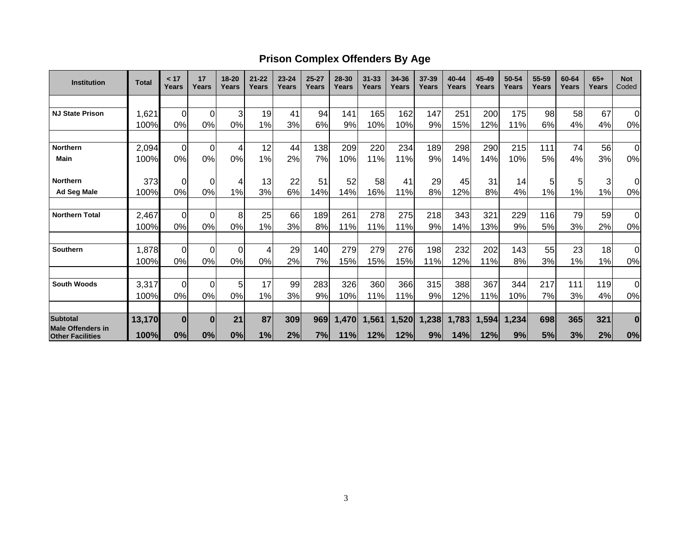## **Prison Complex Offenders By Age**

| <b>Institution</b>                                  | <b>Total</b> | < 17<br>Years  | 17<br>Years | 18-20<br>Years | $21 - 22$<br>Years | $23 - 24$<br>Years | $25 - 27$<br>Years | 28-30<br>Years | $31 - 33$<br>Years | 34-36<br>Years | 37-39<br>Years | $40 - 44$<br>Years | 45-49<br>Years | 50-54<br>Years | 55-59<br>Years | 60-64<br>Years | $65+$<br>Years | <b>Not</b><br>Coded |
|-----------------------------------------------------|--------------|----------------|-------------|----------------|--------------------|--------------------|--------------------|----------------|--------------------|----------------|----------------|--------------------|----------------|----------------|----------------|----------------|----------------|---------------------|
|                                                     |              |                |             |                |                    |                    |                    |                |                    |                |                |                    |                |                |                |                |                |                     |
| <b>NJ State Prison</b>                              | 1,621        | $\Omega$       | 0           | 3              | 19                 | 41                 | 94                 | 141            | 165                | 162            | 147            | 251                | 200            | 175            | 98             | 58             | 67             | $\mathbf 0$         |
|                                                     | 100%         | 0%             | 0%          | 0%             | 1%                 | 3%                 | 6%                 | 9%             | 10%                | 10%            | 9%             | 15%                | 12%            | 11%            | 6%             | 4%             | 4%             | 0%                  |
|                                                     |              |                |             |                |                    |                    |                    |                |                    |                |                |                    |                |                |                |                |                |                     |
| <b>Northern</b>                                     | 2,094        | $\Omega$       | 0           | 4              | 12                 | 44                 | 138                | 209            | 220                | 234            | 189            | 298                | 290            | 215            | 111            | 74             | 56             | $\overline{0}$      |
| Main                                                | 100%         | 0%             | 0%          | 0%             | 1%                 | 2%                 | 7%                 | 10%            | 11%                | 11%            | 9%             | 14%                | 14%            | 10%            | 5%             | 4%             | 3%             | 0%                  |
| <b>Northern</b>                                     | 373          | $\Omega$       | $\Omega$    |                | 13                 | 22                 | 51                 | 52             | 58                 | 41             | 29             | 45                 | 31             | 14             | 5              | 5              | 3              | $\Omega$            |
| <b>Ad Seg Male</b>                                  | 100%         | 0%             | 0%          | 1%             | 3%                 | 6%                 | 14%                | 14%            | 16%                | 11%            | 8%             | 12%                | 8%             | 4%             | 1%             | 1%             | 1%             | 0%                  |
|                                                     |              |                |             |                |                    |                    |                    |                |                    |                |                |                    |                |                |                |                |                |                     |
| <b>Northern Total</b>                               | 2,467        | $\overline{0}$ | $\mathbf 0$ | 8              | 25                 | 66                 | 189                | 261            | 278                | 275            | 218            | 343                | 321            | 229            | 116            | 79             | 59             | $\mathbf 0$         |
|                                                     | 100%         | 0%             | 0%          | 0%             | 1%                 | 3%                 | 8%                 | 11%            | 11%                | 11%            | 9%             | 14%                | 13%            | 9%             | 5%             | 3%             | 2%             | 0%                  |
| <b>Southern</b>                                     | 1,878        | $\Omega$       | 0           | $\Omega$       |                    | 29                 | 140                | 279            | 279                | 276            | 198            | 232                | 202            | 143            | 55             | 23             | 18             | $\Omega$            |
|                                                     | 100%         | 0%             | 0%          | 0%             | 0%                 | 2%                 | 7%                 | 15%            | 15%                | 15%            | 11%            | 12%                | 11%            | 8%             | 3%             | 1%             | 1%             | 0%                  |
|                                                     |              |                |             |                |                    |                    |                    |                |                    |                |                |                    |                |                |                |                |                |                     |
| <b>South Woods</b>                                  | 3,317        | $\Omega$       | $\Omega$    | 5              | 17                 | 99                 | 283                | 326            | 360                | 366            | 315            | 388                | 367            | 344            | 217            | 111            | 119            | 0                   |
|                                                     | 100%         | 0%             | 0%          | 0%             | 1%                 | 3%                 | 9%                 | 10%            | 11%                | 11%            | 9%             | 12%                | 11%            | 10%            | 7%             | 3%             | 4%             | 0%                  |
| <b>Subtotal</b>                                     | 13,170       | $\bf{0}$       | $\bf{0}$    | 21             | 87                 | 309                | 969                | 1,470          | 1,561              | 1,520          | 1,238          | 1,783              | 1,594          | 1,234          | 698            | 365            | 321            | $\bf{0}$            |
| <b>Male Offenders in</b><br><b>Other Facilities</b> | 100%         | 0%             | 0%          | 0%             | 1%                 | 2%                 | 7%                 | 11%            | 12%                | 12%            | 9%             | 14%                | 12%            | 9%             | 5%             | 3%             | 2%             | 0%                  |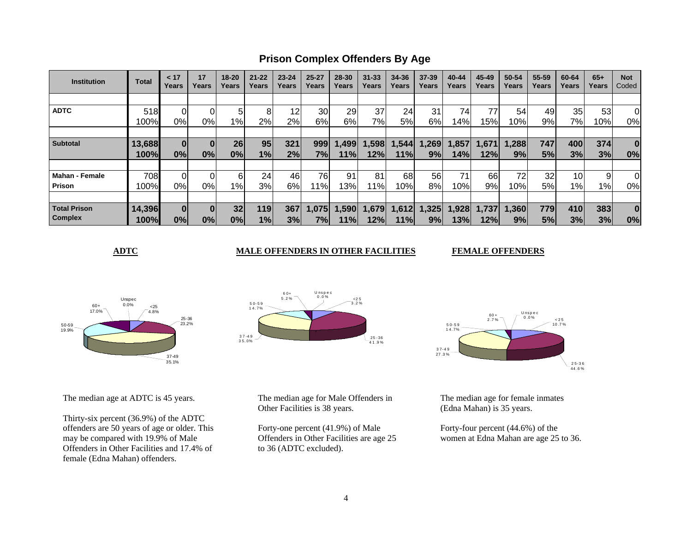**Prison Complex Offenders By Age**

| <b>Institution</b>    | <b>Total</b> | < 17<br>Years | 17<br>Years | $18 - 20$<br>Years | $21 - 22$<br>Years | $23 - 24$<br>Years | $25 - 27$<br>Years | 28-30<br>Years | $31 - 33$<br>Years | 34-36<br>Years | $37 - 39$<br>Years | 40-44<br>Years | 45-49<br>Years | 50-54<br>Years | 55-59<br>Years | 60-64<br>Years  | $65+$<br>Years | <b>Not</b><br>Coded |
|-----------------------|--------------|---------------|-------------|--------------------|--------------------|--------------------|--------------------|----------------|--------------------|----------------|--------------------|----------------|----------------|----------------|----------------|-----------------|----------------|---------------------|
|                       |              |               |             |                    |                    |                    |                    |                |                    |                |                    |                |                |                |                |                 |                |                     |
| <b>ADTC</b>           | 518          |               |             | 5                  | 8                  | 12                 | 30                 | 29             | 37                 | 24             | 31                 | 74             | 77             | 54             | 49             | 35              | 53             | 0                   |
|                       | 100%         | 0%            | 0%l         | 1%                 | 2%                 | 2%                 | 6%                 | 6%             | 7%                 | 5%l            | 6%                 | l 4%           | 15%            | 10%            | 9%             | 7%              | 10%            | 0%                  |
|                       |              |               |             |                    |                    |                    |                    |                |                    |                |                    |                |                |                |                |                 |                |                     |
| <b>Subtotal</b>       | 13,688       | $\bf{0}$      |             | 26                 | 95 <sub>1</sub>    | 321                | 999                | ,499           | 1,598              | 1,544          | .269               | 1,857          | 1,671          | 1,288          | 747            | 400             | 374            | $\bf{0}$            |
|                       | 100%         | 0%            | 0%          | 0%                 | 1%                 | 2%                 | 7%                 | 11%            | 12%                | 11%            | 9%                 | 14%            | 12%            | 9%             | 5%             | 3%              | 3%             | 0%                  |
|                       |              |               |             |                    |                    |                    |                    |                |                    |                |                    |                |                |                |                |                 |                |                     |
| <b>Mahan - Female</b> | 708          |               |             | 6                  | 24                 | 46                 | 76                 | 91             | 81                 | 68             | 56                 | 71             | 66             | 72             | 32             | 10 <sup>1</sup> | 9              | 0                   |
| Prison                | 100%         | 0%            | 0%l         | $1\%$              | 3%                 | 6%                 | l 1%l              | 13%            | 11%                | 10%            | 8%                 | 10%            | 9%             | 10%            | 5%             | 1%              | $1\%$          | 0%                  |
|                       |              |               |             |                    |                    |                    |                    |                |                    |                |                    |                |                |                |                |                 |                |                     |
| <b>Total Prison</b>   | 14,396       |               |             | 32                 | 119                | 367                | 1,075              | 1,590          | 1,679              | 1,612          | .325               | 1,928          | 1,737          | 1,360          | 779            | 410             | 383            | $\bf{0}$            |
| <b>Complex</b>        | 100%         | 0%            | 0%          | 0%                 | 1%                 | 3%                 | 7%l                | 11%            | 12%l               | 11%l           | 9%                 | 13%            | 12%l           | 9%             | 5%             | 3%              | 3%             | 0%                  |

**ADTC** MALE OFFENDERS IN OTHER FACILITIES

**FEMALE OFFENDERS** 



The median age at ADTC is 45 years.

Thirty-six percent (36.9%) of the ADTC offenders are 50 years of age or older. This may be compared with 19.9% of Male Offenders in Other Facilities and 17.4% of female (Edna Mahan) offenders.



The median age for Male Offenders in Other Facilities is 38 years.

Forty-one percent (41.9%) of Male Offenders in Other Facilities are age 25 to 36 (ADTC excluded).



The median age for female inmates (Edna Mahan) is 35 years.

Forty-four percent (44.6%) of the women at Edna Mahan are age 25 to 36.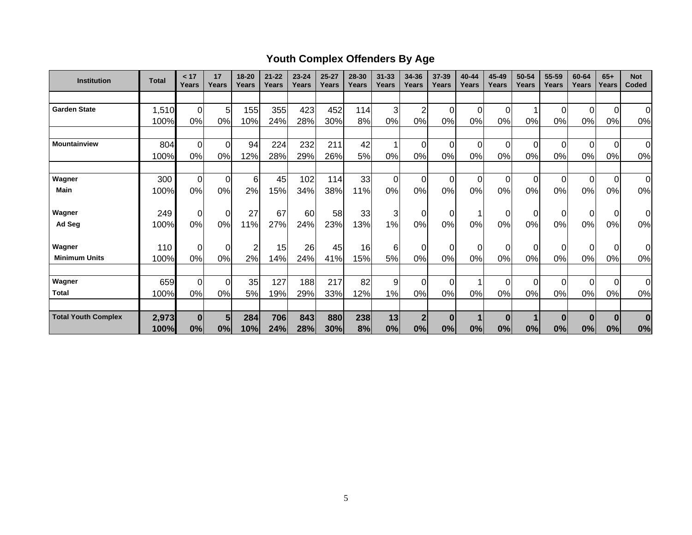# **Youth Complex Offenders By Age**

| <b>Institution</b>         | <b>Total</b> | < 17<br>Years     | 17<br>Years          | 18-20<br>Years | $21 - 22$<br>Years | $23 - 24$<br>Years | $25 - 27$<br>Years | 28-30<br>Years | $31 - 33$<br>Years | 34-36<br>Years       | 37-39<br>Years | 40-44<br>Years | 45-49<br>Years | 50-54<br>Years | 55-59<br>Years | 60-64<br>Years | $65+$<br>Years       | <b>Not</b><br>Coded |
|----------------------------|--------------|-------------------|----------------------|----------------|--------------------|--------------------|--------------------|----------------|--------------------|----------------------|----------------|----------------|----------------|----------------|----------------|----------------|----------------------|---------------------|
|                            |              |                   |                      |                |                    |                    |                    |                |                    |                      |                |                |                |                |                |                |                      |                     |
| <b>Garden State</b>        | 1,510        | $\overline{0}$    | 5 <sub>l</sub>       | 155            | 355                | 423                | 452                | 114            | 3                  | $\overline{2}$       | 0              | 0              | $\Omega$       | 1              | 0              | $\Omega$       | $\mathbf 0$          | $\Omega$            |
|                            | 100%         | 0%                | 0%                   | 10%            | 24%                | 28%                | 30%                | 8%             | 0%                 | 0%                   | 0%             | 0%             | 0%             | 0%             | 0%             | 0%             | 0%                   | 0%                  |
|                            |              |                   |                      |                |                    |                    |                    |                |                    |                      |                |                |                |                |                |                |                      |                     |
| <b>Mountainview</b>        | 804          | $\mathbf 0$       | $\overline{0}$       | 94             | 224                | 232                | 211                | 42             | 1                  | $\pmb{0}$            | $\Omega$       | $\Omega$       | $\Omega$       | 0              | $\Omega$       | $\Omega$       | $\mathbf 0$          | $\Omega$            |
|                            | 100%         | 0%                | 0%                   | 12%            | 28%                | 29%                | 26%                | 5%             | 0%                 | 0%                   | 0%             | 0%             | 0%             | 0%             | 0%             | 0%             | 0%                   | 0%                  |
|                            |              |                   |                      |                |                    |                    |                    |                |                    |                      |                |                |                |                |                |                |                      |                     |
| Wagner                     | 300          | $\mathbf 0$       | $\overline{0}$       | 6              | 45                 | 102                | 114                | 33             | $\Omega$           | $\mathbf 0$          | $\Omega$       | $\Omega$       | $\Omega$       | 0              | $\Omega$       | $\Omega$       | $\overline{0}$       | $\Omega$            |
| Main                       | 100%         | 0%                | 0%                   | 2%             | 15%                | 34%                | 38%                | 11%            | 0%                 | 0%                   | 0%             | 0%             | 0%             | 0%             | 0%             | 0%             | 0%                   | 0%                  |
|                            |              |                   |                      |                |                    |                    |                    |                |                    |                      |                |                |                |                |                |                |                      |                     |
| Wagner                     | 249          | $\mathbf 0$       | $\overline{0}$       | 27             | 67                 | 60                 | 58                 | 33             | 3                  | $\overline{0}$       | 0              |                | 0              | 0              |                | 0              | $\overline{0}$       | 0l                  |
| Ad Seg                     | 100%         | 0%                | 0%                   | 11%            | 27%                | 24%                | 23%                | 13%            | 1%                 | 0%                   | 0%             | 0%             | 0%             | 0%             | 0%             | 0%             | 0%                   | 0%                  |
| Wagner                     | 110          |                   |                      |                | 15                 | 26                 | 45                 | 16             |                    |                      | $\Omega$       |                |                |                |                |                |                      | $\overline{0}$      |
| <b>Minimum Units</b>       | 100%         | $\mathbf 0$<br>0% | $\overline{0}$<br>0% | 2<br>2%        |                    |                    |                    |                | 6                  | $\overline{0}$<br>0% | 0%             | 0<br>0%        | $\Omega$<br>0% | 0<br>0%        | 0%             | $\Omega$<br>0% | $\overline{0}$<br>0% |                     |
|                            |              |                   |                      |                | 14%                | 24%                | 41%                | 15%            | 5%                 |                      |                |                |                |                |                |                |                      | 0%                  |
| Wagner                     | 659          | $\mathbf 0$       | $\overline{0}$       | 35             | 127                | 188                | 217                | 82             | 9                  | $\mathbf 0$          | $\Omega$       |                | $\Omega$       | 0              | $\Omega$       | $\Omega$       | $\overline{0}$       | $\overline{0}$      |
| <b>Total</b>               | 100%         | 0%                | 0%                   | 5%             | 19%                | 29%                | 33%                | 12%            | 1%                 | 0%                   | 0%             | 0%             | 0%             | 0%             | 0%             | 0%             | 0%                   | 0%                  |
|                            |              |                   |                      |                |                    |                    |                    |                |                    |                      |                |                |                |                |                |                |                      |                     |
| <b>Total Youth Complex</b> | 2,973        | $\bf{0}$          | 5                    | 284            | 706                | 843                | 880                | 238            | 13                 | $\overline{2}$       | $\bf{0}$       |                | $\bf{0}$       |                | $\bf{0}$       | $\bf{0}$       | $\bf{0}$             | $\bf{0}$            |
|                            | 100%         | 0%                | 0%                   | 10%            | 24%                | 28%                | 30%                | 8%             | 0%                 | 0%                   | 0%             | 0%             | 0%             | 0%             | 0%             | 0%             | 0%                   | 0%                  |